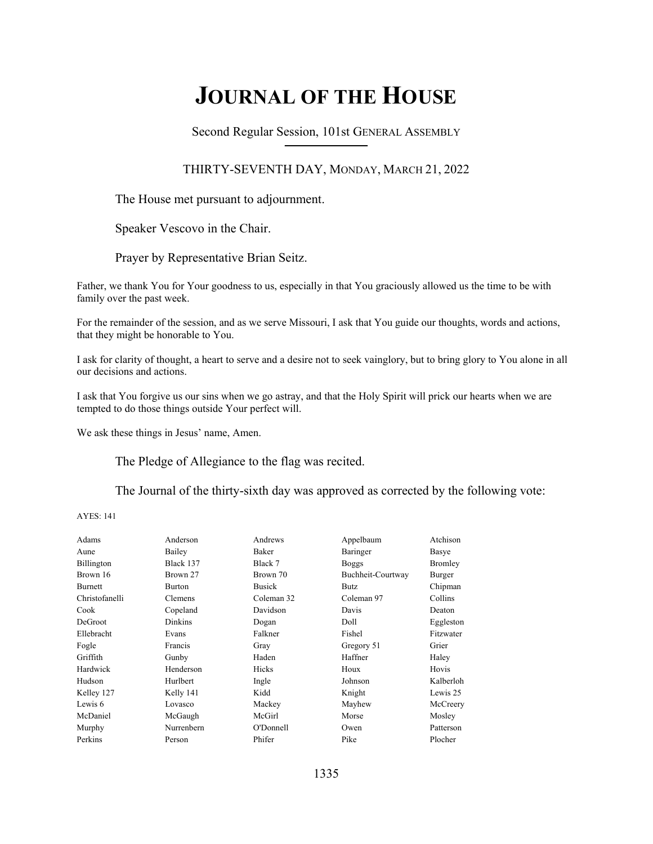# **JOURNAL OF THE HOUSE**

Second Regular Session, 101st GENERAL ASSEMBLY **\_\_\_\_\_\_\_\_\_\_\_\_\_\_\_\_\_\_\_\_\_\_\_\_\_\_**

## THIRTY-SEVENTH DAY, MONDAY, MARCH 21, 2022

The House met pursuant to adjournment.

Speaker Vescovo in the Chair.

Prayer by Representative Brian Seitz.

Father, we thank You for Your goodness to us, especially in that You graciously allowed us the time to be with family over the past week.

For the remainder of the session, and as we serve Missouri, I ask that You guide our thoughts, words and actions, that they might be honorable to You.

I ask for clarity of thought, a heart to serve and a desire not to seek vainglory, but to bring glory to You alone in all our decisions and actions.

I ask that You forgive us our sins when we go astray, and that the Holy Spirit will prick our hearts when we are tempted to do those things outside Your perfect will.

We ask these things in Jesus' name, Amen.

The Pledge of Allegiance to the flag was recited.

The Journal of the thirty-sixth day was approved as corrected by the following vote:

AYES: 141

| Adams             | Anderson       | Andrews       | Appelbaum         | Atchison  |
|-------------------|----------------|---------------|-------------------|-----------|
| Aune              | Bailey         | Baker         | Baringer          | Basye     |
| <b>Billington</b> | Black 137      | Black 7       | <b>Boggs</b>      | Bromley   |
| Brown 16          | Brown 27       | Brown 70      | Buchheit-Courtway | Burger    |
| <b>Burnett</b>    | <b>Burton</b>  | <b>Busick</b> | <b>Butz</b>       | Chipman   |
| Christofanelli    | Clemens        | Coleman 32    | Coleman 97        | Collins   |
| Cook              | Copeland       | Davidson      | Davis             | Deaton    |
| <b>DeGroot</b>    | <b>Dinkins</b> | Dogan         | Doll              | Eggleston |
| Ellebracht        | Evans          | Falkner       | Fishel            | Fitzwater |
| Fogle             | Francis        | Gray          | Gregory 51        | Grier     |
| Griffith          | Gunby          | Haden         | Haffner           | Haley     |
| Hardwick          | Henderson      | Hicks         | Houx              | Hovis     |
| Hudson            | Hurlbert       | Ingle         | Johnson           | Kalberloh |
| Kelley 127        | Kelly 141      | Kidd          | Knight            | Lewis 25  |
| Lewis 6           | Lovasco        | Mackey        | Mayhew            | McCreery  |
| McDaniel          | McGaugh        | McGirl        | Morse             | Mosley    |
| Murphy            | Nurrenbern     | O'Donnell     | Owen              | Patterson |
| Perkins           | Person         | Phifer        | Pike              | Plocher   |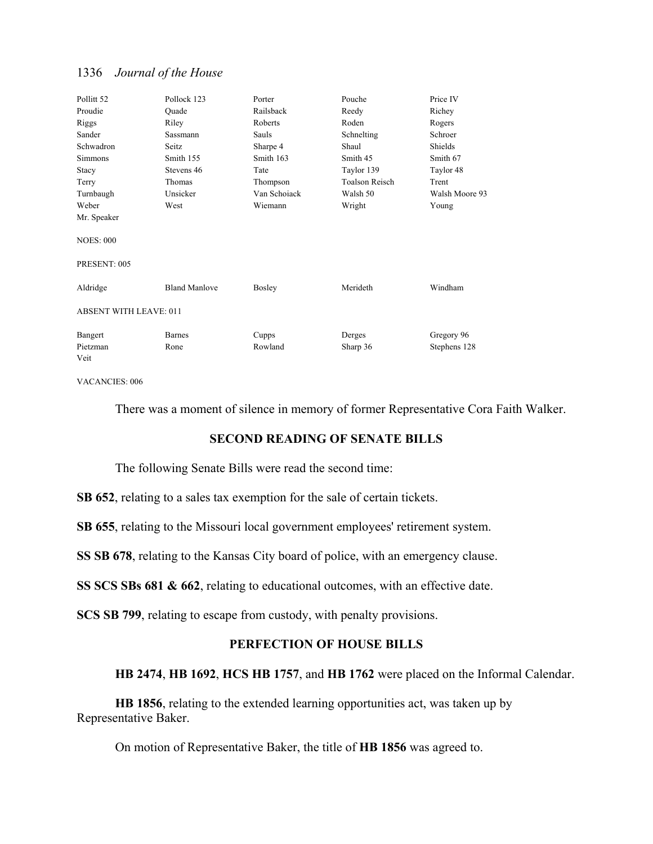| Pollitt <sub>52</sub>         | Pollock 123          | Porter       | Pouche                | Price IV       |
|-------------------------------|----------------------|--------------|-----------------------|----------------|
| Proudie                       | Quade                | Railsback    | Reedy                 | Richey         |
| Riggs                         | Riley                | Roberts      | Roden                 | Rogers         |
| Sander                        | Sassmann             | <b>Sauls</b> | Schnelting            | Schroer        |
| Schwadron                     | Seitz                | Sharpe 4     | Shaul                 | Shields        |
| <b>Simmons</b>                | Smith 155            | Smith 163    | Smith 45              | Smith 67       |
| Stacy                         | Stevens 46           | Tate         | Taylor 139            | Taylor 48      |
| Terry                         | <b>Thomas</b>        | Thompson     | <b>Toalson Reisch</b> | Trent          |
| Turnbaugh                     | Unsicker             | Van Schoiack | Walsh 50              | Walsh Moore 93 |
| Weber                         | West                 | Wiemann      | Wright                | Young          |
| Mr. Speaker                   |                      |              |                       |                |
| <b>NOES: 000</b>              |                      |              |                       |                |
| PRESENT: 005                  |                      |              |                       |                |
| Aldridge                      | <b>Bland Manlove</b> | Bosley       | Merideth              | Windham        |
| <b>ABSENT WITH LEAVE: 011</b> |                      |              |                       |                |
| Bangert                       | <b>Barnes</b>        | Cupps        | Derges                | Gregory 96     |
| Pietzman                      | Rone                 | Rowland      | Sharp 36              | Stephens 128   |
| Veit                          |                      |              |                       |                |

VACANCIES: 006

There was a moment of silence in memory of former Representative Cora Faith Walker.

### **SECOND READING OF SENATE BILLS**

The following Senate Bills were read the second time:

**SB 652**, relating to a sales tax exemption for the sale of certain tickets.

**SB 655**, relating to the Missouri local government employees' retirement system.

**SS SB 678**, relating to the Kansas City board of police, with an emergency clause.

**SS SCS SBs 681 & 662**, relating to educational outcomes, with an effective date.

**SCS SB 799**, relating to escape from custody, with penalty provisions.

## **PERFECTION OF HOUSE BILLS**

## **HB 2474**, **HB 1692**, **HCS HB 1757**, and **HB 1762** were placed on the Informal Calendar.

**HB 1856**, relating to the extended learning opportunities act, was taken up by Representative Baker.

On motion of Representative Baker, the title of **HB 1856** was agreed to.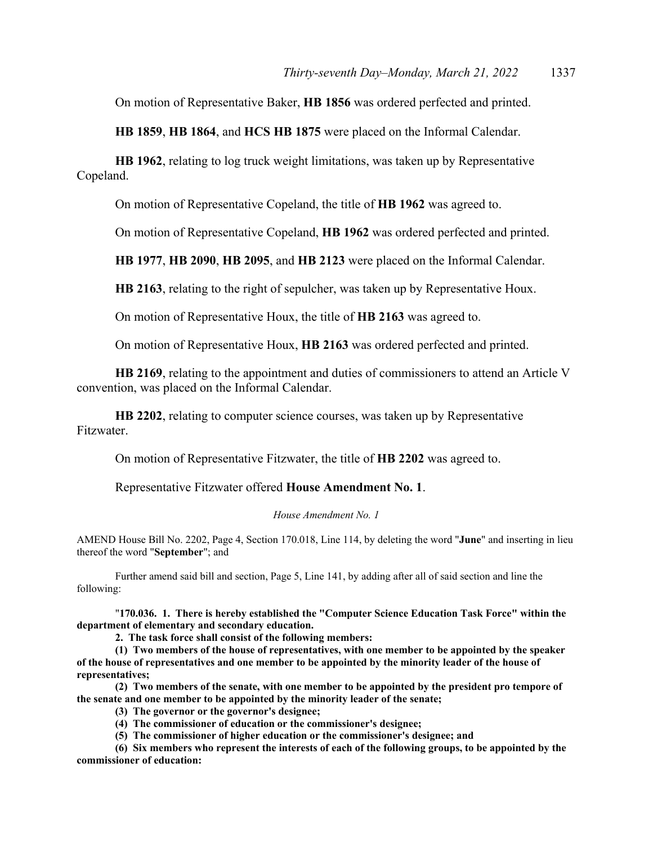On motion of Representative Baker, **HB 1856** was ordered perfected and printed.

**HB 1859**, **HB 1864**, and **HCS HB 1875** were placed on the Informal Calendar.

**HB 1962**, relating to log truck weight limitations, was taken up by Representative Copeland.

On motion of Representative Copeland, the title of **HB 1962** was agreed to.

On motion of Representative Copeland, **HB 1962** was ordered perfected and printed.

**HB 1977**, **HB 2090**, **HB 2095**, and **HB 2123** were placed on the Informal Calendar.

**HB 2163**, relating to the right of sepulcher, was taken up by Representative Houx.

On motion of Representative Houx, the title of **HB 2163** was agreed to.

On motion of Representative Houx, **HB 2163** was ordered perfected and printed.

**HB 2169**, relating to the appointment and duties of commissioners to attend an Article V convention, was placed on the Informal Calendar.

**HB 2202**, relating to computer science courses, was taken up by Representative Fitzwater.

On motion of Representative Fitzwater, the title of **HB 2202** was agreed to.

Representative Fitzwater offered **House Amendment No. 1**.

#### *House Amendment No. 1*

AMEND House Bill No. 2202, Page 4, Section 170.018, Line 114, by deleting the word "**June**" and inserting in lieu thereof the word "**September**"; and

 Further amend said bill and section, Page 5, Line 141, by adding after all of said section and line the following:

"**170.036. 1. There is hereby established the "Computer Science Education Task Force" within the department of elementary and secondary education.** 

**2. The task force shall consist of the following members:** 

**(1) Two members of the house of representatives, with one member to be appointed by the speaker of the house of representatives and one member to be appointed by the minority leader of the house of representatives;** 

**(2) Two members of the senate, with one member to be appointed by the president pro tempore of the senate and one member to be appointed by the minority leader of the senate;** 

**(3) The governor or the governor's designee;** 

**(4) The commissioner of education or the commissioner's designee;** 

**(5) The commissioner of higher education or the commissioner's designee; and** 

**(6) Six members who represent the interests of each of the following groups, to be appointed by the commissioner of education:**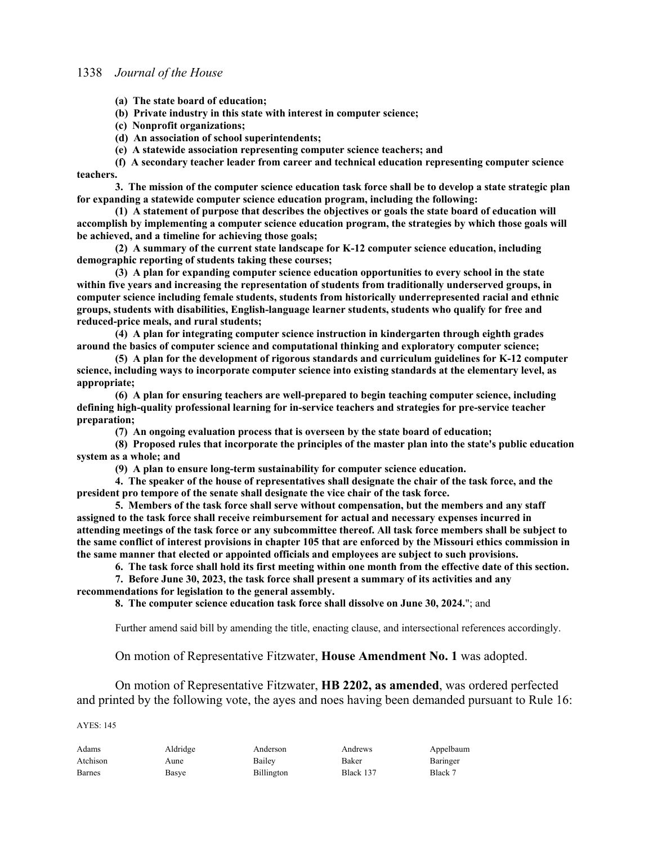**(a) The state board of education;** 

**(b) Private industry in this state with interest in computer science;** 

- **(c) Nonprofit organizations;**
- **(d) An association of school superintendents;**
- **(e) A statewide association representing computer science teachers; and**

**(f) A secondary teacher leader from career and technical education representing computer science teachers.** 

**3. The mission of the computer science education task force shall be to develop a state strategic plan for expanding a statewide computer science education program, including the following:** 

**(1) A statement of purpose that describes the objectives or goals the state board of education will accomplish by implementing a computer science education program, the strategies by which those goals will be achieved, and a timeline for achieving those goals;** 

**(2) A summary of the current state landscape for K-12 computer science education, including demographic reporting of students taking these courses;** 

**(3) A plan for expanding computer science education opportunities to every school in the state within five years and increasing the representation of students from traditionally underserved groups, in computer science including female students, students from historically underrepresented racial and ethnic groups, students with disabilities, English-language learner students, students who qualify for free and reduced-price meals, and rural students;** 

**(4) A plan for integrating computer science instruction in kindergarten through eighth grades around the basics of computer science and computational thinking and exploratory computer science;** 

**(5) A plan for the development of rigorous standards and curriculum guidelines for K-12 computer science, including ways to incorporate computer science into existing standards at the elementary level, as appropriate;** 

**(6) A plan for ensuring teachers are well-prepared to begin teaching computer science, including defining high-quality professional learning for in-service teachers and strategies for pre-service teacher preparation;** 

**(7) An ongoing evaluation process that is overseen by the state board of education;** 

**(8) Proposed rules that incorporate the principles of the master plan into the state's public education system as a whole; and** 

**(9) A plan to ensure long-term sustainability for computer science education.** 

**4. The speaker of the house of representatives shall designate the chair of the task force, and the president pro tempore of the senate shall designate the vice chair of the task force.** 

**5. Members of the task force shall serve without compensation, but the members and any staff assigned to the task force shall receive reimbursement for actual and necessary expenses incurred in attending meetings of the task force or any subcommittee thereof. All task force members shall be subject to the same conflict of interest provisions in chapter 105 that are enforced by the Missouri ethics commission in the same manner that elected or appointed officials and employees are subject to such provisions.** 

**6. The task force shall hold its first meeting within one month from the effective date of this section.** 

**7. Before June 30, 2023, the task force shall present a summary of its activities and any recommendations for legislation to the general assembly.** 

**8. The computer science education task force shall dissolve on June 30, 2024.**"; and

Further amend said bill by amending the title, enacting clause, and intersectional references accordingly.

On motion of Representative Fitzwater, **House Amendment No. 1** was adopted.

 On motion of Representative Fitzwater, **HB 2202, as amended**, was ordered perfected and printed by the following vote, the ayes and noes having been demanded pursuant to Rule 16:

AYES: 145

| Adams         | Aldridge | Anderson   | Andrews   | Appelbaum |
|---------------|----------|------------|-----------|-----------|
| Atchison      | Aune     | Bailey     | Baker     | Baringer  |
| <b>Barnes</b> | Basye    | Billington | Black 137 | Black 7   |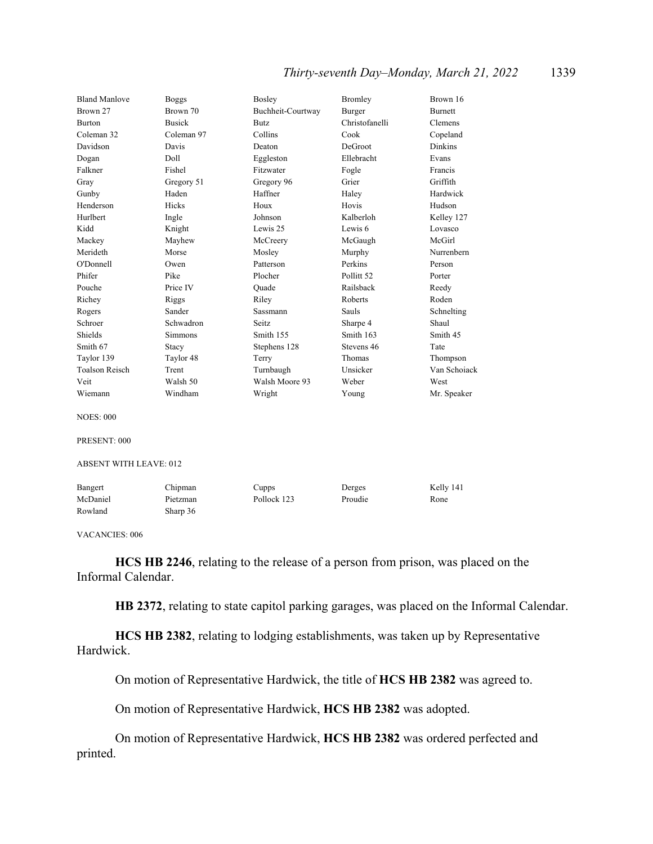| <b>Bland Manlove</b>          | <b>Boggs</b>  | Bosley            | <b>Bromley</b>        | Brown 16       |
|-------------------------------|---------------|-------------------|-----------------------|----------------|
| Brown 27                      | Brown 70      | Buchheit-Courtway | Burger                | <b>Burnett</b> |
| <b>Burton</b>                 | <b>Busick</b> | Butz.             | Christofanelli        | <b>Clemens</b> |
| Coleman 32                    | Coleman 97    | Collins           | Cook                  | Copeland       |
| Davidson                      | Davis         | Deaton            | DeGroot               | <b>Dinkins</b> |
| Dogan                         | Doll          | Eggleston         | Ellebracht            | Evans          |
| Falkner                       | Fishel        | Fitzwater         | Fogle                 | Francis        |
| Gray                          | Gregory 51    | Gregory 96        | Grier                 | Griffith       |
| Gunby                         | Haden         | Haffner           | Haley                 | Hardwick       |
| Henderson                     | Hicks         | Houx              | Hovis                 | Hudson         |
| Hurlbert                      | Ingle         | Johnson           | Kalberloh             | Kelley 127     |
| Kidd                          | Knight        | Lewis 25          | Lewis 6               | Lovasco        |
| Mackey                        | Mayhew        | McCreery          | McGaugh               | McGirl         |
| Merideth                      | Morse         | Mosley            | Murphy                | Nurrenbern     |
| O'Donnell                     | Owen          | Patterson         | Perkins               | Person         |
| Phifer                        | Pike          | Plocher           | Pollitt <sub>52</sub> | Porter         |
| Pouche                        | Price IV      | Ouade             | Railsback             | Reedy          |
| Richey                        | Riggs         | Riley             | Roberts               | Roden          |
| Rogers                        | Sander        | Sassmann          | Sauls                 | Schnelting     |
| Schroer                       | Schwadron     | Seitz.            | Sharpe 4              | Shaul          |
| Shields                       | Simmons       | Smith 155         | Smith 163             | Smith 45       |
| Smith 67                      | Stacy         | Stephens 128      | Stevens 46            | Tate           |
| Taylor 139                    | Taylor 48     | Terry             | Thomas                | Thompson       |
| <b>Toalson Reisch</b>         | Trent         | Turnbaugh         | Unsicker              | Van Schoiack   |
| Veit                          | Walsh 50      | Walsh Moore 93    | Weber                 | West           |
| Wiemann                       | Windham       | Wright            | Young                 | Mr. Speaker    |
| <b>NOES: 000</b>              |               |                   |                       |                |
| PRESENT: 000                  |               |                   |                       |                |
| <b>ABSENT WITH LEAVE: 012</b> |               |                   |                       |                |
| Bangert                       | Chipman       | Cupps             | Derges                | Kelly 141      |
| McDaniel                      | Pietzman      | Pollock 123       | Proudie               | Rone           |
| Rowland                       | Sharp 36      |                   |                       |                |
|                               |               |                   |                       |                |

VACANCIES: 006

**HCS HB 2246**, relating to the release of a person from prison, was placed on the Informal Calendar.

**HB 2372**, relating to state capitol parking garages, was placed on the Informal Calendar.

**HCS HB 2382**, relating to lodging establishments, was taken up by Representative Hardwick.

On motion of Representative Hardwick, the title of **HCS HB 2382** was agreed to.

On motion of Representative Hardwick, **HCS HB 2382** was adopted.

 On motion of Representative Hardwick, **HCS HB 2382** was ordered perfected and printed.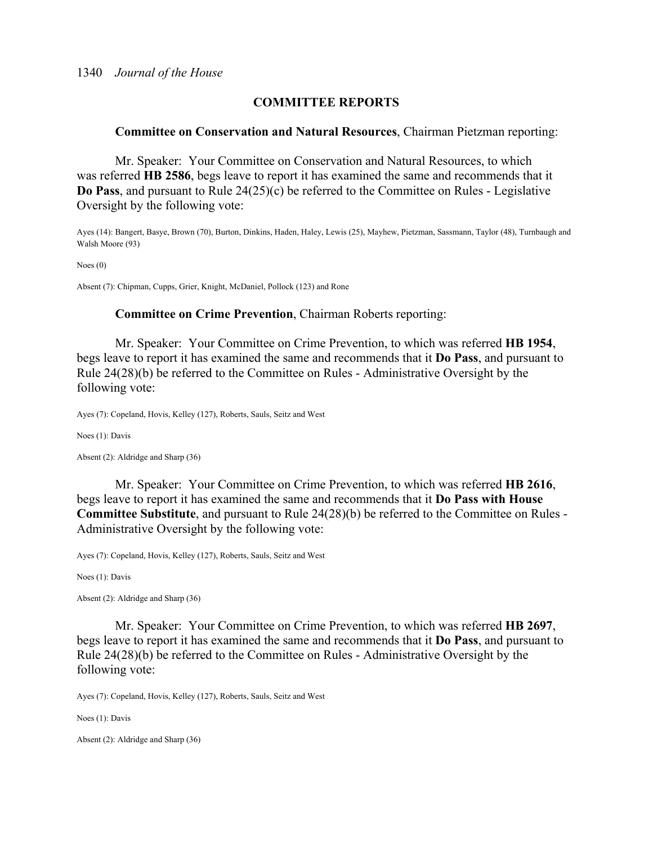## **COMMITTEE REPORTS**

#### **Committee on Conservation and Natural Resources**, Chairman Pietzman reporting:

 Mr. Speaker: Your Committee on Conservation and Natural Resources, to which was referred **HB 2586**, begs leave to report it has examined the same and recommends that it **Do Pass**, and pursuant to Rule 24(25)(c) be referred to the Committee on Rules - Legislative Oversight by the following vote:

Ayes (14): Bangert, Basye, Brown (70), Burton, Dinkins, Haden, Haley, Lewis (25), Mayhew, Pietzman, Sassmann, Taylor (48), Turnbaugh and Walsh Moore (93)

Noes (0)

Absent (7): Chipman, Cupps, Grier, Knight, McDaniel, Pollock (123) and Rone

#### **Committee on Crime Prevention**, Chairman Roberts reporting:

 Mr. Speaker: Your Committee on Crime Prevention, to which was referred **HB 1954**, begs leave to report it has examined the same and recommends that it **Do Pass**, and pursuant to Rule 24(28)(b) be referred to the Committee on Rules - Administrative Oversight by the following vote:

Ayes (7): Copeland, Hovis, Kelley (127), Roberts, Sauls, Seitz and West

Noes (1): Davis

Absent (2): Aldridge and Sharp (36)

 Mr. Speaker: Your Committee on Crime Prevention, to which was referred **HB 2616**, begs leave to report it has examined the same and recommends that it **Do Pass with House Committee Substitute**, and pursuant to Rule 24(28)(b) be referred to the Committee on Rules - Administrative Oversight by the following vote:

Ayes (7): Copeland, Hovis, Kelley (127), Roberts, Sauls, Seitz and West

Noes (1): Davis

Absent (2): Aldridge and Sharp (36)

 Mr. Speaker: Your Committee on Crime Prevention, to which was referred **HB 2697**, begs leave to report it has examined the same and recommends that it **Do Pass**, and pursuant to Rule 24(28)(b) be referred to the Committee on Rules - Administrative Oversight by the following vote:

Ayes (7): Copeland, Hovis, Kelley (127), Roberts, Sauls, Seitz and West

Noes (1): Davis

Absent (2): Aldridge and Sharp (36)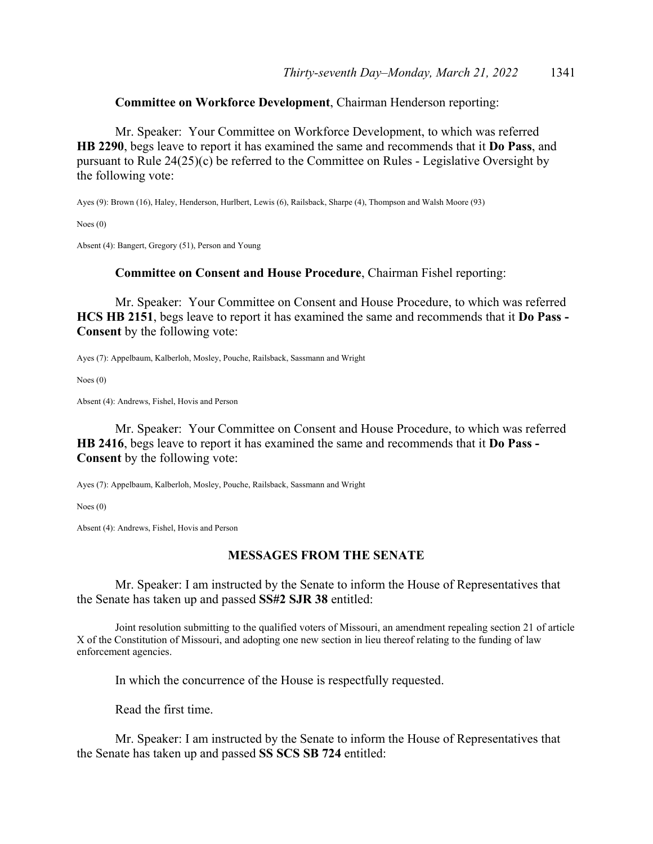## **Committee on Workforce Development**, Chairman Henderson reporting:

 Mr. Speaker: Your Committee on Workforce Development, to which was referred **HB 2290**, begs leave to report it has examined the same and recommends that it **Do Pass**, and pursuant to Rule 24(25)(c) be referred to the Committee on Rules - Legislative Oversight by the following vote:

Ayes (9): Brown (16), Haley, Henderson, Hurlbert, Lewis (6), Railsback, Sharpe (4), Thompson and Walsh Moore (93)

Noes (0)

Absent (4): Bangert, Gregory (51), Person and Young

#### **Committee on Consent and House Procedure**, Chairman Fishel reporting:

 Mr. Speaker: Your Committee on Consent and House Procedure, to which was referred **HCS HB 2151**, begs leave to report it has examined the same and recommends that it **Do Pass - Consent** by the following vote:

Ayes (7): Appelbaum, Kalberloh, Mosley, Pouche, Railsback, Sassmann and Wright

Noes (0)

Absent (4): Andrews, Fishel, Hovis and Person

 Mr. Speaker: Your Committee on Consent and House Procedure, to which was referred **HB 2416**, begs leave to report it has examined the same and recommends that it **Do Pass - Consent** by the following vote:

Ayes (7): Appelbaum, Kalberloh, Mosley, Pouche, Railsback, Sassmann and Wright

Noes (0)

Absent (4): Andrews, Fishel, Hovis and Person

#### **MESSAGES FROM THE SENATE**

 Mr. Speaker: I am instructed by the Senate to inform the House of Representatives that the Senate has taken up and passed **SS#2 SJR 38** entitled:

 Joint resolution submitting to the qualified voters of Missouri, an amendment repealing section 21 of article X of the Constitution of Missouri, and adopting one new section in lieu thereof relating to the funding of law enforcement agencies.

In which the concurrence of the House is respectfully requested.

Read the first time.

 Mr. Speaker: I am instructed by the Senate to inform the House of Representatives that the Senate has taken up and passed **SS SCS SB 724** entitled: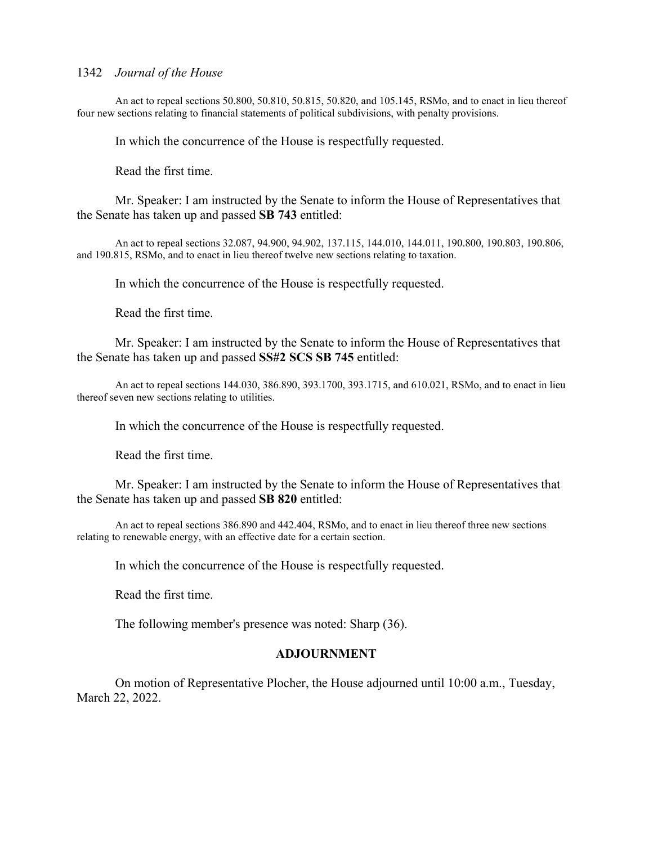An act to repeal sections 50.800, 50.810, 50.815, 50.820, and 105.145, RSMo, and to enact in lieu thereof four new sections relating to financial statements of political subdivisions, with penalty provisions.

In which the concurrence of the House is respectfully requested.

Read the first time.

 Mr. Speaker: I am instructed by the Senate to inform the House of Representatives that the Senate has taken up and passed **SB 743** entitled:

 An act to repeal sections 32.087, 94.900, 94.902, 137.115, 144.010, 144.011, 190.800, 190.803, 190.806, and 190.815, RSMo, and to enact in lieu thereof twelve new sections relating to taxation.

In which the concurrence of the House is respectfully requested.

Read the first time.

 Mr. Speaker: I am instructed by the Senate to inform the House of Representatives that the Senate has taken up and passed **SS#2 SCS SB 745** entitled:

 An act to repeal sections 144.030, 386.890, 393.1700, 393.1715, and 610.021, RSMo, and to enact in lieu thereof seven new sections relating to utilities.

In which the concurrence of the House is respectfully requested.

Read the first time.

 Mr. Speaker: I am instructed by the Senate to inform the House of Representatives that the Senate has taken up and passed **SB 820** entitled:

 An act to repeal sections 386.890 and 442.404, RSMo, and to enact in lieu thereof three new sections relating to renewable energy, with an effective date for a certain section.

In which the concurrence of the House is respectfully requested.

Read the first time.

The following member's presence was noted: Sharp (36).

#### **ADJOURNMENT**

 On motion of Representative Plocher, the House adjourned until 10:00 a.m., Tuesday, March 22, 2022.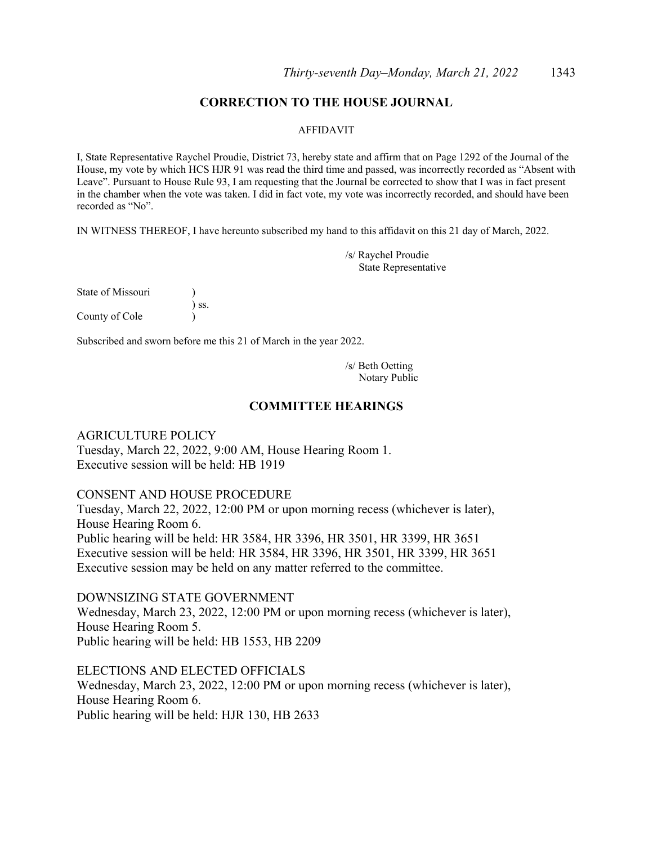## **CORRECTION TO THE HOUSE JOURNAL**

#### AFFIDAVIT

I, State Representative Raychel Proudie, District 73, hereby state and affirm that on Page 1292 of the Journal of the House, my vote by which HCS HJR 91 was read the third time and passed, was incorrectly recorded as "Absent with Leave". Pursuant to House Rule 93, I am requesting that the Journal be corrected to show that I was in fact present in the chamber when the vote was taken. I did in fact vote, my vote was incorrectly recorded, and should have been recorded as "No".

IN WITNESS THEREOF, I have hereunto subscribed my hand to this affidavit on this 21 day of March, 2022.

/s/ Raychel Proudie State Representative

| State of Missouri |            |
|-------------------|------------|
|                   | $\sum$ SS. |
| County of Cole    |            |

Subscribed and sworn before me this 21 of March in the year 2022.

/s/ Beth Oetting Notary Public

#### **COMMITTEE HEARINGS**

## AGRICULTURE POLICY

Tuesday, March 22, 2022, 9:00 AM, House Hearing Room 1. Executive session will be held: HB 1919

## CONSENT AND HOUSE PROCEDURE

Tuesday, March 22, 2022, 12:00 PM or upon morning recess (whichever is later), House Hearing Room 6. Public hearing will be held: HR 3584, HR 3396, HR 3501, HR 3399, HR 3651 Executive session will be held: HR 3584, HR 3396, HR 3501, HR 3399, HR 3651 Executive session may be held on any matter referred to the committee.

DOWNSIZING STATE GOVERNMENT Wednesday, March 23, 2022, 12:00 PM or upon morning recess (whichever is later), House Hearing Room 5. Public hearing will be held: HB 1553, HB 2209

ELECTIONS AND ELECTED OFFICIALS Wednesday, March 23, 2022, 12:00 PM or upon morning recess (whichever is later), House Hearing Room 6. Public hearing will be held: HJR 130, HB 2633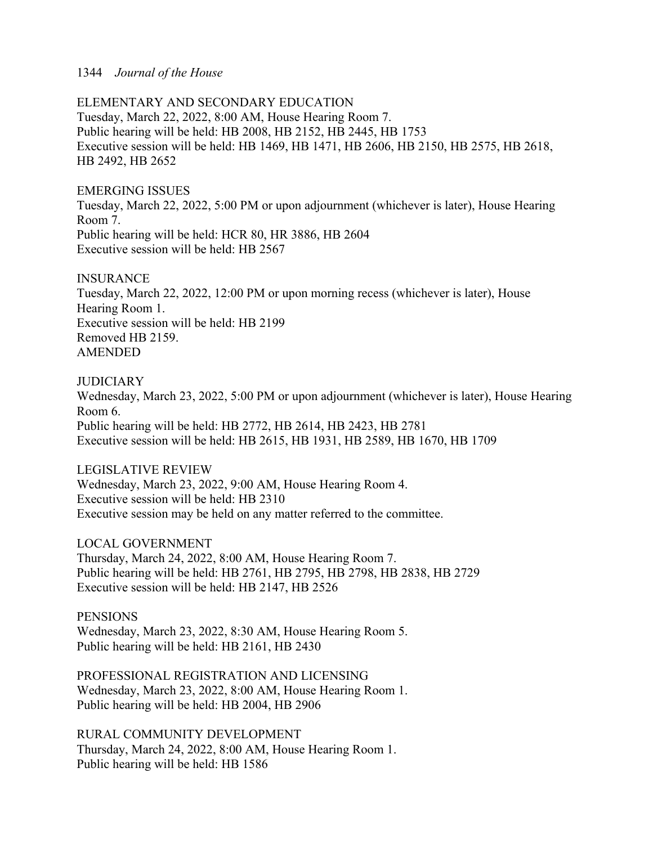ELEMENTARY AND SECONDARY EDUCATION Tuesday, March 22, 2022, 8:00 AM, House Hearing Room 7. Public hearing will be held: HB 2008, HB 2152, HB 2445, HB 1753 Executive session will be held: HB 1469, HB 1471, HB 2606, HB 2150, HB 2575, HB 2618, HB 2492, HB 2652

## EMERGING ISSUES

Tuesday, March 22, 2022, 5:00 PM or upon adjournment (whichever is later), House Hearing Room 7. Public hearing will be held: HCR 80, HR 3886, HB 2604 Executive session will be held: HB 2567

## **INSURANCE**

Tuesday, March 22, 2022, 12:00 PM or upon morning recess (whichever is later), House Hearing Room 1. Executive session will be held: HB 2199 Removed HB 2159. AMENDED

## **JUDICIARY**

Wednesday, March 23, 2022, 5:00 PM or upon adjournment (whichever is later), House Hearing Room 6. Public hearing will be held: HB 2772, HB 2614, HB 2423, HB 2781 Executive session will be held: HB 2615, HB 1931, HB 2589, HB 1670, HB 1709

## LEGISLATIVE REVIEW

Wednesday, March 23, 2022, 9:00 AM, House Hearing Room 4. Executive session will be held: HB 2310 Executive session may be held on any matter referred to the committee.

LOCAL GOVERNMENT

Thursday, March 24, 2022, 8:00 AM, House Hearing Room 7. Public hearing will be held: HB 2761, HB 2795, HB 2798, HB 2838, HB 2729 Executive session will be held: HB 2147, HB 2526

## **PENSIONS**

Wednesday, March 23, 2022, 8:30 AM, House Hearing Room 5. Public hearing will be held: HB 2161, HB 2430

PROFESSIONAL REGISTRATION AND LICENSING Wednesday, March 23, 2022, 8:00 AM, House Hearing Room 1. Public hearing will be held: HB 2004, HB 2906

RURAL COMMUNITY DEVELOPMENT Thursday, March 24, 2022, 8:00 AM, House Hearing Room 1. Public hearing will be held: HB 1586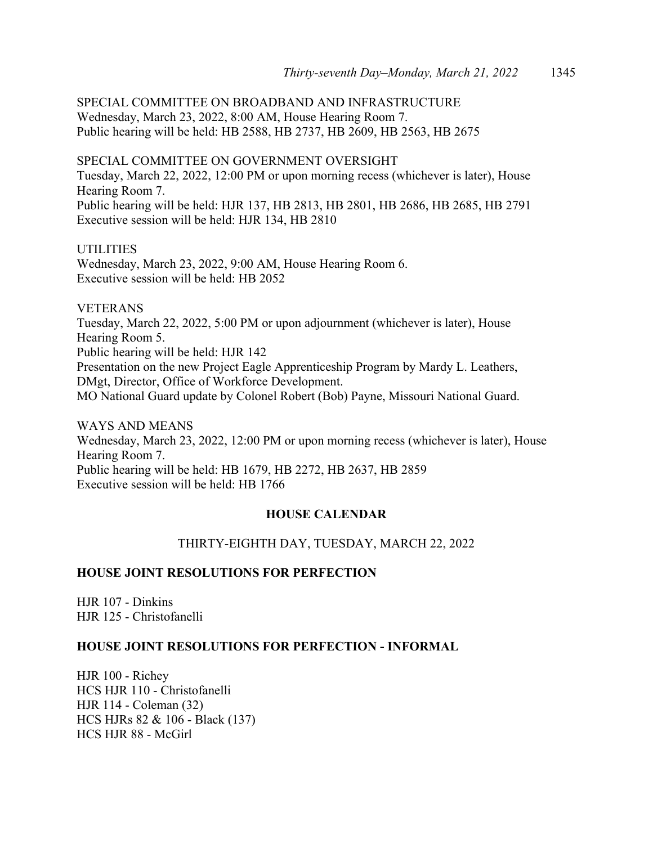SPECIAL COMMITTEE ON BROADBAND AND INFRASTRUCTURE Wednesday, March 23, 2022, 8:00 AM, House Hearing Room 7. Public hearing will be held: HB 2588, HB 2737, HB 2609, HB 2563, HB 2675

SPECIAL COMMITTEE ON GOVERNMENT OVERSIGHT Tuesday, March 22, 2022, 12:00 PM or upon morning recess (whichever is later), House Hearing Room 7. Public hearing will be held: HJR 137, HB 2813, HB 2801, HB 2686, HB 2685, HB 2791 Executive session will be held: HJR 134, HB 2810

## UTILITIES

Wednesday, March 23, 2022, 9:00 AM, House Hearing Room 6. Executive session will be held: HB 2052

## VETERANS

Tuesday, March 22, 2022, 5:00 PM or upon adjournment (whichever is later), House Hearing Room 5. Public hearing will be held: HJR 142 Presentation on the new Project Eagle Apprenticeship Program by Mardy L. Leathers, DMgt, Director, Office of Workforce Development. MO National Guard update by Colonel Robert (Bob) Payne, Missouri National Guard.

WAYS AND MEANS Wednesday, March 23, 2022, 12:00 PM or upon morning recess (whichever is later), House Hearing Room 7. Public hearing will be held: HB 1679, HB 2272, HB 2637, HB 2859 Executive session will be held: HB 1766

## **HOUSE CALENDAR**

## THIRTY-EIGHTH DAY, TUESDAY, MARCH 22, 2022

## **HOUSE JOINT RESOLUTIONS FOR PERFECTION**

HJR 107 - Dinkins HJR 125 - Christofanelli

## **HOUSE JOINT RESOLUTIONS FOR PERFECTION - INFORMAL**

HJR 100 - Richey HCS HJR 110 - Christofanelli HJR 114 - Coleman (32) HCS HJRs 82 & 106 - Black (137) HCS HJR 88 - McGirl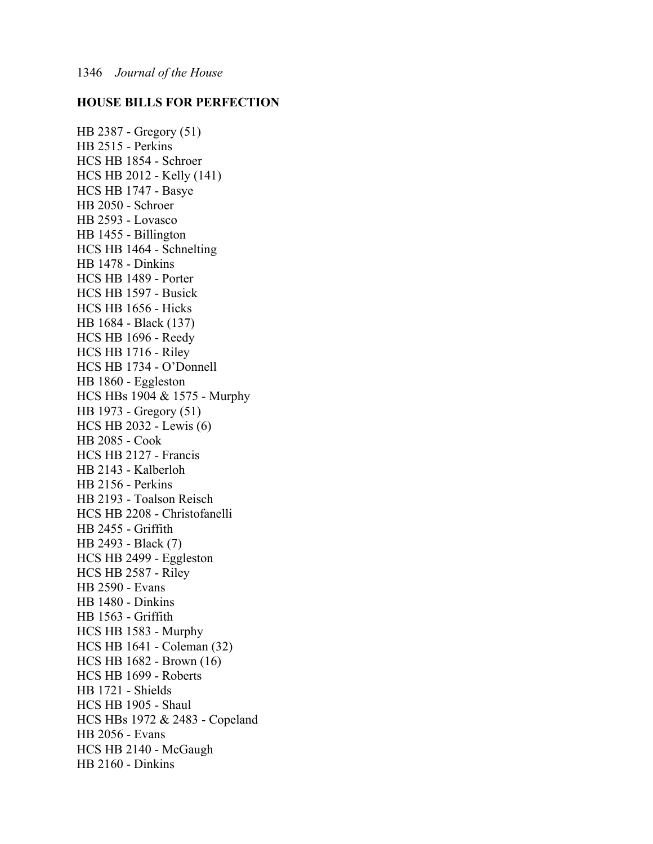## **HOUSE BILLS FOR PERFECTION**

HB 2387 - Gregory (51) HB 2515 - Perkins HCS HB 1854 - Schroer HCS HB 2012 - Kelly (141) HCS HB 1747 - Basye HB 2050 - Schroer HB 2593 - Lovasco HB 1455 - Billington HCS HB 1464 - Schnelting HB 1478 - Dinkins HCS HB 1489 - Porter HCS HB 1597 - Busick HCS HB 1656 - Hicks HB 1684 - Black (137) HCS HB 1696 - Reedy HCS HB 1716 - Riley HCS HB 1734 - O'Donnell HB 1860 - Eggleston HCS HBs 1904 & 1575 - Murphy HB 1973 - Gregory (51) HCS HB 2032 - Lewis (6) HB 2085 - Cook HCS HB 2127 - Francis HB 2143 - Kalberloh HB 2156 - Perkins HB 2193 - Toalson Reisch HCS HB 2208 - Christofanelli HB 2455 - Griffith HB 2493 - Black (7) HCS HB 2499 - Eggleston HCS HB 2587 - Riley HB 2590 - Evans HB 1480 - Dinkins HB 1563 - Griffith HCS HB 1583 - Murphy HCS HB 1641 - Coleman (32) HCS HB 1682 - Brown (16) HCS HB 1699 - Roberts HB 1721 - Shields HCS HB 1905 - Shaul HCS HBs 1972 & 2483 - Copeland HB 2056 - Evans HCS HB 2140 - McGaugh HB 2160 - Dinkins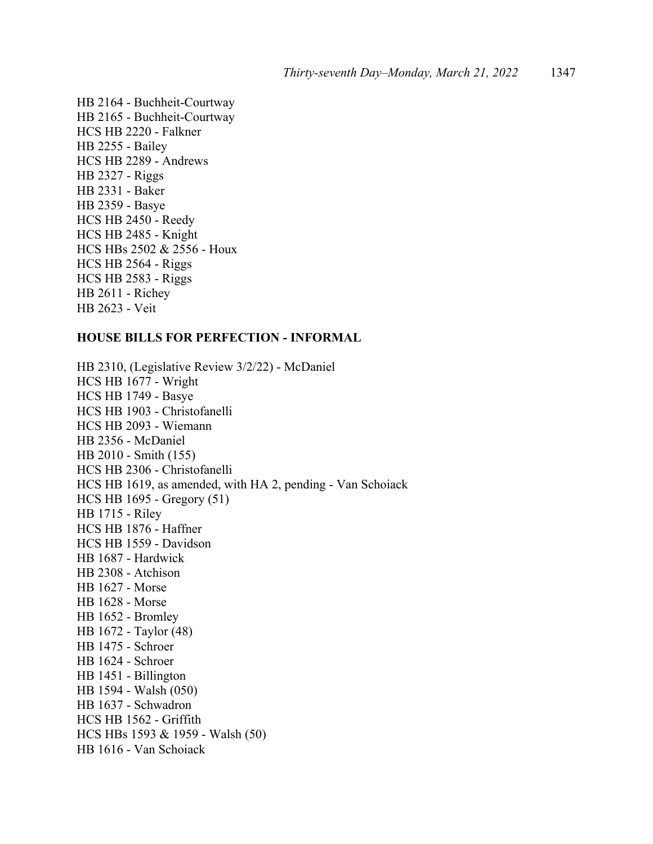HB 2164 - Buchheit-Courtway HB 2165 - Buchheit-Courtway HCS HB 2220 - Falkner HB 2255 - Bailey HCS HB 2289 - Andrews HB 2327 - Riggs HB 2331 - Baker HB 2359 - Basye HCS HB 2450 - Reedy HCS HB 2485 - Knight HCS HBs 2502 & 2556 - Houx HCS HB 2564 - Riggs HCS HB 2583 - Riggs HB 2611 - Richey HB 2623 - Veit

#### **HOUSE BILLS FOR PERFECTION - INFORMAL**

HB 2310, (Legislative Review 3/2/22) - McDaniel HCS HB 1677 - Wright HCS HB 1749 - Basye HCS HB 1903 - Christofanelli HCS HB 2093 - Wiemann HB 2356 - McDaniel HB 2010 - Smith (155) HCS HB 2306 - Christofanelli HCS HB 1619, as amended, with HA 2, pending - Van Schoiack HCS HB 1695 - Gregory (51) HB 1715 - Riley HCS HB 1876 - Haffner HCS HB 1559 - Davidson HB 1687 - Hardwick HB 2308 - Atchison HB 1627 - Morse HB 1628 - Morse HB 1652 - Bromley HB 1672 - Taylor (48) HB 1475 - Schroer HB 1624 - Schroer HB 1451 - Billington HB 1594 - Walsh (050) HB 1637 - Schwadron HCS HB 1562 - Griffith HCS HBs 1593 & 1959 - Walsh (50) HB 1616 - Van Schoiack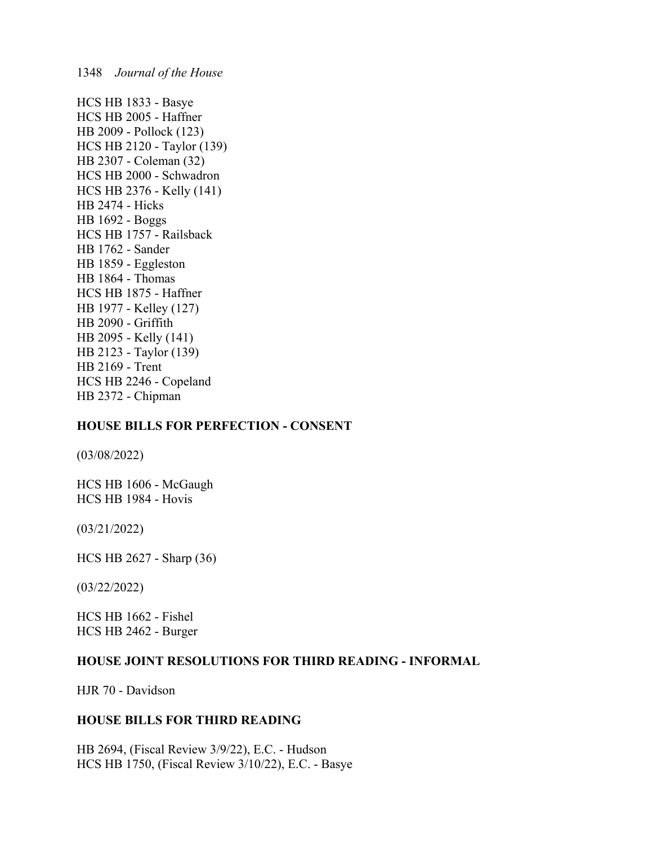HCS HB 1833 - Basye HCS HB 2005 - Haffner HB 2009 - Pollock (123) HCS HB 2120 - Taylor (139) HB 2307 - Coleman (32) HCS HB 2000 - Schwadron HCS HB 2376 - Kelly (141) HB 2474 - Hicks HB 1692 - Boggs HCS HB 1757 - Railsback HB 1762 - Sander HB 1859 - Eggleston HB 1864 - Thomas HCS HB 1875 - Haffner HB 1977 - Kelley (127) HB 2090 - Griffith HB 2095 - Kelly (141) HB 2123 - Taylor (139) HB 2169 - Trent HCS HB 2246 - Copeland HB 2372 - Chipman

## **HOUSE BILLS FOR PERFECTION - CONSENT**

(03/08/2022)

HCS HB 1606 - McGaugh HCS HB 1984 - Hovis

(03/21/2022)

HCS HB 2627 - Sharp (36)

(03/22/2022)

HCS HB 1662 - Fishel HCS HB 2462 - Burger

## **HOUSE JOINT RESOLUTIONS FOR THIRD READING - INFORMAL**

HJR 70 - Davidson

## **HOUSE BILLS FOR THIRD READING**

HB 2694, (Fiscal Review 3/9/22), E.C. - Hudson HCS HB 1750, (Fiscal Review 3/10/22), E.C. - Basye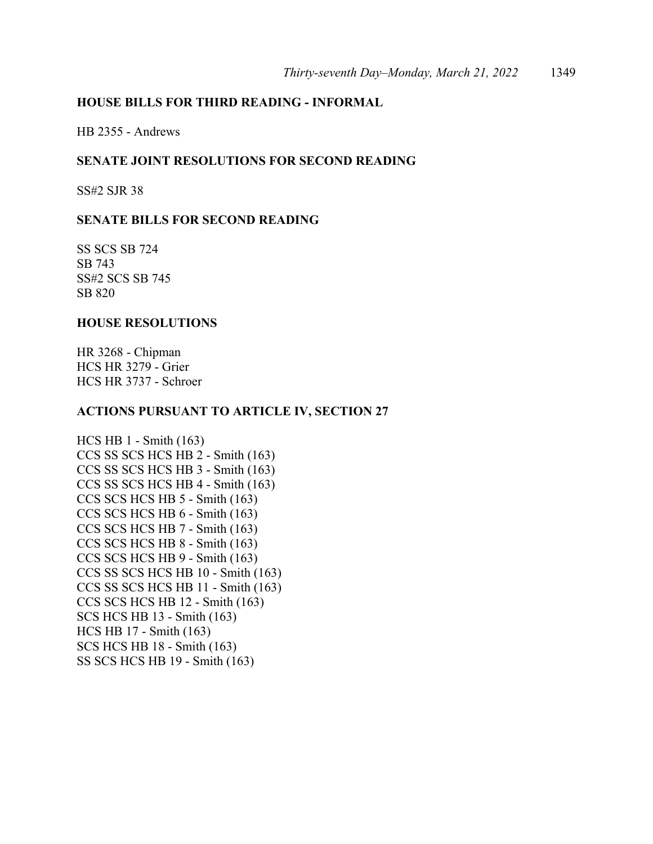## **HOUSE BILLS FOR THIRD READING - INFORMAL**

HB 2355 - Andrews

## **SENATE JOINT RESOLUTIONS FOR SECOND READING**

SS#2 SJR 38

## **SENATE BILLS FOR SECOND READING**

SS SCS SB 724 SB 743 SS#2 SCS SB 745 SB 820

## **HOUSE RESOLUTIONS**

HR 3268 - Chipman HCS HR 3279 - Grier HCS HR 3737 - Schroer

#### **ACTIONS PURSUANT TO ARTICLE IV, SECTION 27**

HCS HB 1 - Smith (163) CCS SS SCS HCS HB 2 - Smith (163) CCS SS SCS HCS HB 3 - Smith (163) CCS SS SCS HCS HB 4 - Smith (163) CCS SCS HCS HB 5 - Smith (163) CCS SCS HCS HB 6 - Smith (163) CCS SCS HCS HB 7 - Smith (163) CCS SCS HCS HB 8 - Smith (163) CCS SCS HCS HB 9 - Smith (163) CCS SS SCS HCS HB 10 - Smith (163) CCS SS SCS HCS HB 11 - Smith (163) CCS SCS HCS HB 12 - Smith (163) SCS HCS HB 13 - Smith (163) HCS HB 17 - Smith (163) SCS HCS HB 18 - Smith (163) SS SCS HCS HB 19 - Smith (163)